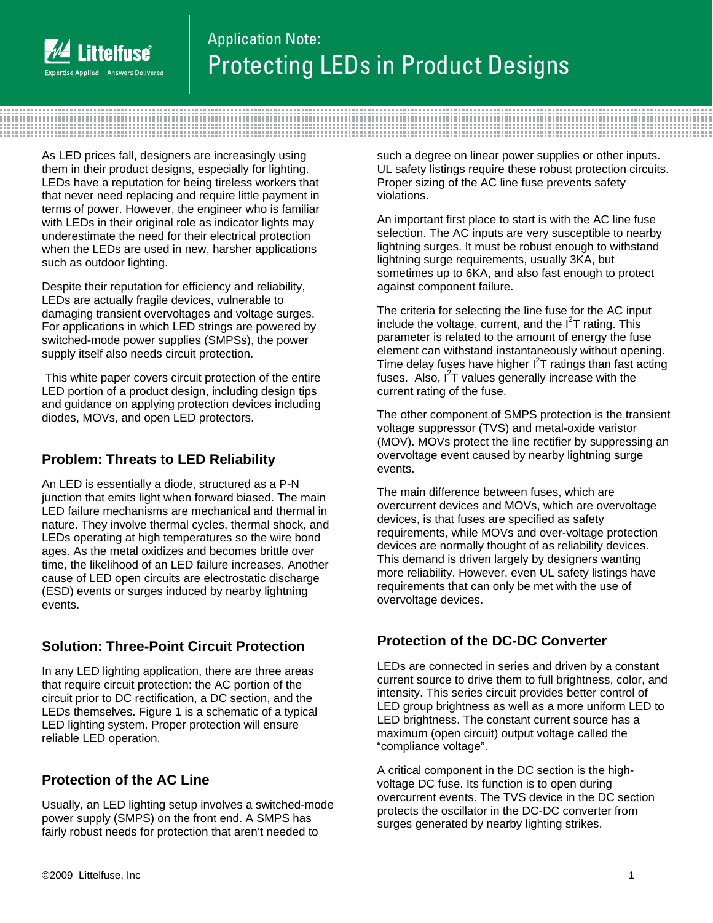

# Application Note: Protecting LEDs in Product Designs

As LED prices fall, designers are increasingly using them in their product designs, especially for lighting. LEDs have a reputation for being tireless workers that that never need replacing and require little payment in terms of power. However, the engineer who is familiar with LEDs in their original role as indicator lights may underestimate the need for their electrical protection when the LEDs are used in new, harsher applications such as outdoor lighting.

Despite their reputation for efficiency and reliability, LEDs are actually fragile devices, vulnerable to damaging transient overvoltages and voltage surges. For applications in which LED strings are powered by switched-mode power supplies (SMPSs), the power supply itself also needs circuit protection.

 This white paper covers circuit protection of the entire LED portion of a product design, including design tips and guidance on applying protection devices including diodes, MOVs, and open LED protectors.

# **Problem: Threats to LED Reliability**

An LED is essentially a diode, structured as a P-N junction that emits light when forward biased. The main LED failure mechanisms are mechanical and thermal in nature. They involve thermal cycles, thermal shock, and LEDs operating at high temperatures so the wire bond ages. As the metal oxidizes and becomes brittle over time, the likelihood of an LED failure increases. Another cause of LED open circuits are electrostatic discharge (ESD) events or surges induced by nearby lightning events.

# **Solution: Three-Point Circuit Protection**

In any LED lighting application, there are three areas that require circuit protection: the AC portion of the circuit prior to DC rectification, a DC section, and the LEDs themselves. Figure 1 is a schematic of a typical LED lighting system. Proper protection will ensure reliable LED operation.

# **Protection of the AC Line**

Usually, an LED lighting setup involves a switched-mode power supply (SMPS) on the front end. A SMPS has fairly robust needs for protection that aren't needed to

such a degree on linear power supplies or other inputs. UL safety listings require these robust protection circuits. Proper sizing of the AC line fuse prevents safety violations.

An important first place to start is with the AC line fuse selection. The AC inputs are very susceptible to nearby lightning surges. It must be robust enough to withstand lightning surge requirements, usually 3KA, but sometimes up to 6KA, and also fast enough to protect against component failure.

The criteria for selecting the line fuse for the AC input include the voltage, current, and the  $I<sup>2</sup>T$  rating. This parameter is related to the amount of energy the fuse element can withstand instantaneously without opening. Time delay fuses have higher  $I^2T$  ratings than fast acting fuses. Also,  $I^2T$  values generally increase with the current rating of the fuse.

The other component of SMPS protection is the transient voltage suppressor (TVS) and metal-oxide varistor (MOV). MOVs protect the line rectifier by suppressing an overvoltage event caused by nearby lightning surge events.

The main difference between fuses, which are overcurrent devices and MOVs, which are overvoltage devices, is that fuses are specified as safety requirements, while MOVs and over-voltage protection devices are normally thought of as reliability devices. This demand is driven largely by designers wanting more reliability. However, even UL safety listings have requirements that can only be met with the use of overvoltage devices.

# **Protection of the DC-DC Converter**

LEDs are connected in series and driven by a constant current source to drive them to full brightness, color, and intensity. This series circuit provides better control of LED group brightness as well as a more uniform LED to LED brightness. The constant current source has a maximum (open circuit) output voltage called the "compliance voltage".

A critical component in the DC section is the highvoltage DC fuse. Its function is to open during overcurrent events. The TVS device in the DC section protects the oscillator in the DC-DC converter from surges generated by nearby lighting strikes.